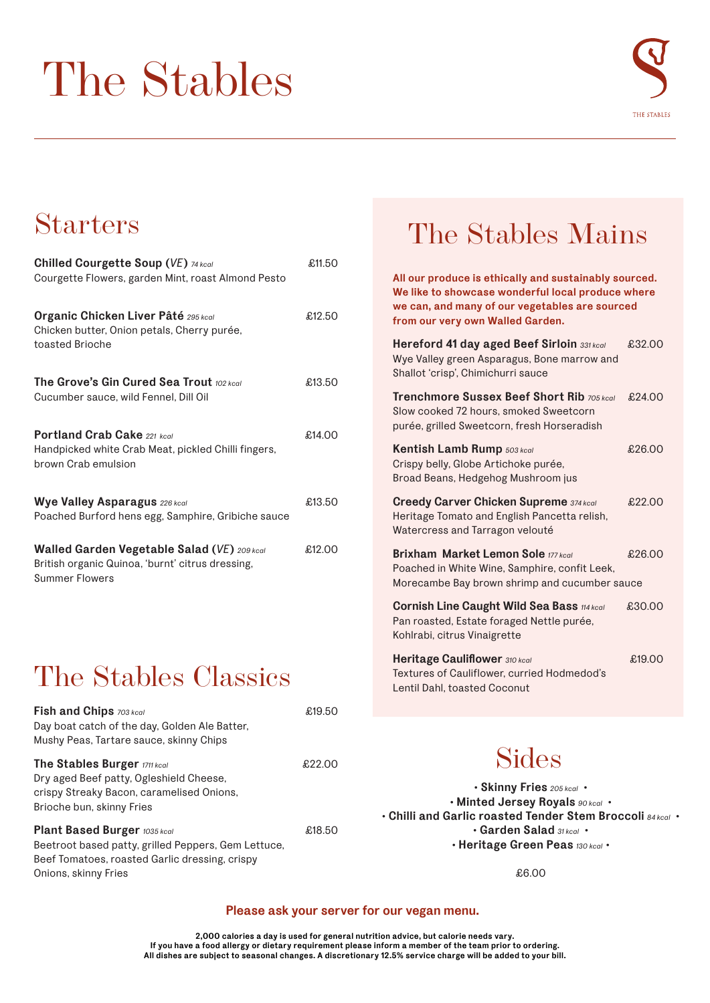# The Stables



### Starters

| <b>Chilled Courgette Soup (VE) 74 kcal</b>                                                                               | £11.50 |
|--------------------------------------------------------------------------------------------------------------------------|--------|
| Courgette Flowers, garden Mint, roast Almond Pesto                                                                       |        |
| <b>Organic Chicken Liver Pâté</b> 295 kcal                                                                               | £12.50 |
| Chicken butter, Onion petals, Cherry purée,<br>toasted Brioche                                                           |        |
| <b>The Grove's Gin Cured Sea Trout 102 kcall</b><br>Cucumber sauce, wild Fennel, Dill Oil                                | £13.50 |
| <b>Portland Crab Cake 221 kcgl</b>                                                                                       | £14.00 |
| Handpicked white Crab Meat, pickled Chilli fingers,<br>brown Crab emulsion                                               |        |
| <b>Wye Valley Asparagus 226 kcal</b><br>Poached Burford hens egg, Samphire, Gribiche sauce                               | £13.50 |
| Walled Garden Vegetable Salad (VE) 209 kcal<br>British organic Quinoa, 'burnt' citrus dressing,<br><b>Summer Flowers</b> | £12.00 |

## The Stables Classics

| <b>Fish and Chips</b> 703 kcal<br>Day boat catch of the day, Golden Ale Batter,<br>Mushy Peas, Tartare sauce, skinny Chips                                           | £19.50 |
|----------------------------------------------------------------------------------------------------------------------------------------------------------------------|--------|
| The Stables Burger 1711 kcal<br>Dry aged Beef patty, Ogleshield Cheese,<br>crispy Streaky Bacon, caramelised Onions,<br>Brioche bun, skinny Fries                    | £22.00 |
| <b>Plant Based Burger 1035 kcal</b><br>Beetroot based patty, grilled Peppers, Gem Lettuce,<br>Beef Tomatoes, roasted Garlic dressing, crispy<br>Onions, skinny Fries | £18.50 |

## The Stables Mains

**All our produce is ethically and sustainably sourced. We like to showcase wonderful local produce where we can, and many of our vegetables are sourced from our very own Walled Garden. Hereford 41 day aged Beef Sirloin** *331 kcal* £32.00 Wye Valley green Asparagus, Bone marrow and Shallot 'crisp', Chimichurri sauce **Trenchmore Sussex Beef Short Rib** *705 kcal* £24.00 Slow cooked 72 hours, smoked Sweetcorn purée, grilled Sweetcorn, fresh Horseradish **Kentish Lamb Rump** *503 kcal E26.00* Crispy belly, Globe Artichoke purée, Broad Beans, Hedgehog Mushroom jus **Creedy Carver Chicken Supreme** *374 kcal* £22.00 Heritage Tomato and English Pancetta relish, Watercress and Tarragon velouté Brixham Market Lemon Sole 177 kcal **£26.00** Poached in White Wine, Samphire, confit Leek, Morecambe Bay brown shrimp and cucumber sauce **Cornish Line Caught Wild Sea Bass** *114 kcal* £30.00 Pan roasted, Estate foraged Nettle purée, Kohlrabi, citrus Vinaigrette

**Heritage Cauliflower** *310 kcal* £19.00 Textures of Cauliflower, curried Hodmedod's Lentil Dahl, toasted Coconut

### Sides

**• Skinny Fries** *205 kcal* **• • Minted Jersey Royals** *90 kcal* **• • Chilli and Garlic roasted Tender Stem Broccoli** *84 kcal* **• • Garden Salad** *31 kcal* **• • Heritage Green Peas** *130 kcal* **•**

£6.00

#### **Please ask your server for our vegan menu.**